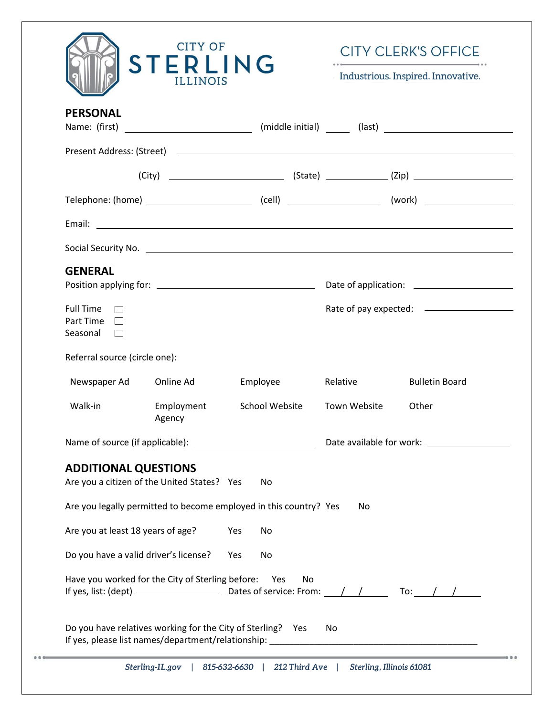|                                                     | <b>CITY OF</b><br><b>STERLING</b><br><b>ILLINOIS</b>              |                |                          | <b>CITY CLERK'S OFFICE</b><br>Industrious. Inspired. Innovative. |
|-----------------------------------------------------|-------------------------------------------------------------------|----------------|--------------------------|------------------------------------------------------------------|
| <b>PERSONAL</b>                                     |                                                                   |                |                          |                                                                  |
|                                                     |                                                                   |                |                          |                                                                  |
|                                                     |                                                                   |                |                          |                                                                  |
|                                                     |                                                                   |                |                          |                                                                  |
|                                                     |                                                                   |                |                          |                                                                  |
|                                                     |                                                                   |                |                          |                                                                  |
| <b>GENERAL</b>                                      |                                                                   |                |                          |                                                                  |
| <b>Full Time</b><br>Part Time<br>Seasonal<br>$\Box$ |                                                                   |                |                          |                                                                  |
| Referral source (circle one):                       |                                                                   |                |                          |                                                                  |
| Newspaper Ad                                        | Online Ad                                                         | Employee       | Relative                 | <b>Bulletin Board</b>                                            |
| Walk-in                                             | Employment<br>Agency                                              | School Website | Town Website             | Other                                                            |
|                                                     |                                                                   |                |                          |                                                                  |
| <b>ADDITIONAL QUESTIONS</b>                         | Are you a citizen of the United States? Yes                       | No             |                          |                                                                  |
|                                                     | Are you legally permitted to become employed in this country? Yes |                | No                       |                                                                  |
| Are you at least 18 years of age?                   | Yes                                                               | No             |                          |                                                                  |
| Do you have a valid driver's license?               | Yes                                                               | No             |                          |                                                                  |
|                                                     | Have you worked for the City of Sterling before: Yes              | No.            |                          |                                                                  |
|                                                     | Do you have relatives working for the City of Sterling? Yes       |                | No                       |                                                                  |
|                                                     | Sterling-IL.gov   815-632-6630   212 Third Ave                    |                | Sterling, Illinois 61081 |                                                                  |

 $0.0.0$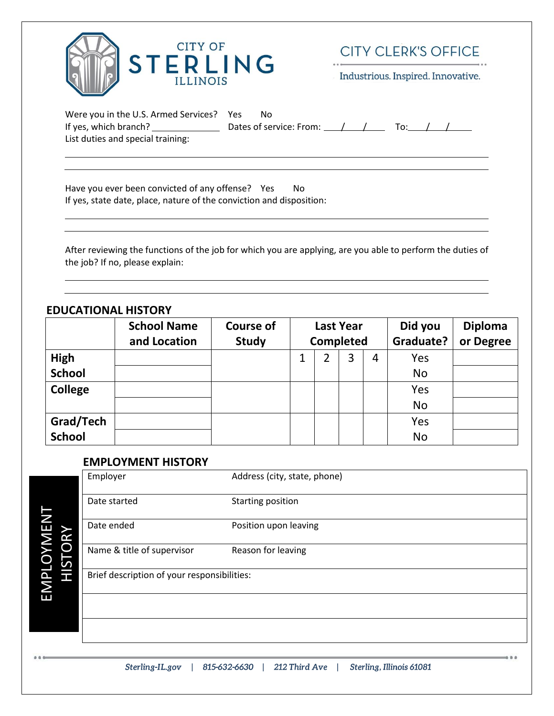

**CITY CLERK'S OFFICE** 

Industrious. Inspired. Innovative.

| Were you in the U.S. Armed Services? Yes | Nο                          |  |  |  |
|------------------------------------------|-----------------------------|--|--|--|
| If yes, which branch?                    | Dates of service: From: ( ) |  |  |  |
| List duties and special training:        |                             |  |  |  |

Have you ever been convicted of any offense? Yes No If yes, state date, place, nature of the conviction and disposition:

After reviewing the functions of the job for which you are applying, are you able to perform the duties of the job? If no, please explain:

### **EDUCATIONAL HISTORY**

|               | <b>School Name</b> | <b>Course of</b> | <b>Last Year</b> |   |                | Did you   | <b>Diploma</b> |
|---------------|--------------------|------------------|------------------|---|----------------|-----------|----------------|
|               | and Location       | <b>Study</b>     | <b>Completed</b> |   |                | Graduate? | or Degree      |
| <b>High</b>   |                    |                  | 2                | 3 | $\overline{4}$ | Yes       |                |
| <b>School</b> |                    |                  |                  |   |                | <b>No</b> |                |
| College       |                    |                  |                  |   |                | Yes       |                |
|               |                    |                  |                  |   |                | <b>No</b> |                |
| Grad/Tech     |                    |                  |                  |   |                | Yes       |                |
| <b>School</b> |                    |                  |                  |   |                | <b>No</b> |                |

#### **EMPLOYMENT HISTORY**

| Employer                                    | Address (city, state, phone) |
|---------------------------------------------|------------------------------|
| Date started                                | Starting position            |
| Date ended                                  | Position upon leaving        |
| Name & title of supervisor                  | Reason for leaving           |
| Brief description of your responsibilities: |                              |
|                                             |                              |
|                                             |                              |
|                                             |                              |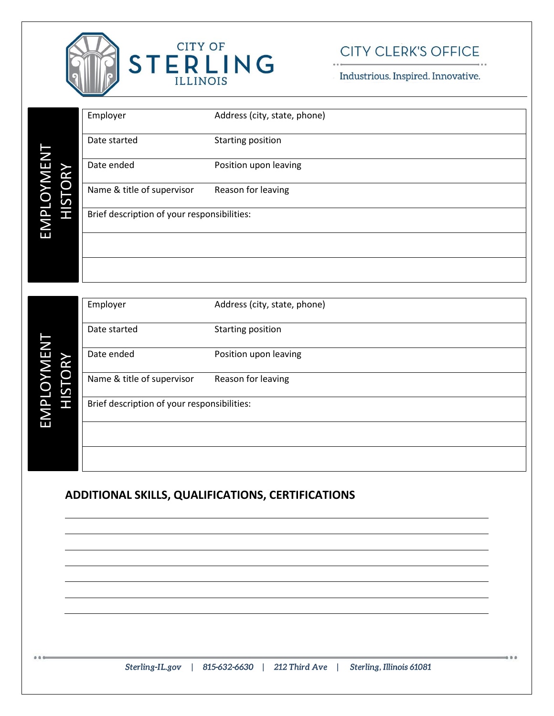

# **CITY CLERK'S OFFICE**

Industrious. Inspired. Innovative.

|                                   | Employer                                    | Address (city, state, phone) |
|-----------------------------------|---------------------------------------------|------------------------------|
|                                   | Date started                                | Starting position            |
|                                   | Date ended                                  | Position upon leaving        |
|                                   | Name & title of supervisor                  | Reason for leaving           |
| EMPLOYMENT<br>HISTORY             | Brief description of your responsibilities: |                              |
|                                   |                                             |                              |
|                                   |                                             |                              |
|                                   |                                             |                              |
|                                   | Employer                                    | Address (city, state, phone) |
|                                   | Date started                                | Starting position            |
|                                   | Date ended                                  | Position upon leaving        |
| EMPLOYMEN <sup>-</sup><br>HISTORY | Name & title of supervisor                  | Reason for leaving           |
|                                   | Brief description of your responsibilities: |                              |
|                                   |                                             |                              |
|                                   |                                             |                              |

## **ADDITIONAL SKILLS, QUALIFICATIONS, CERTIFICATIONS**